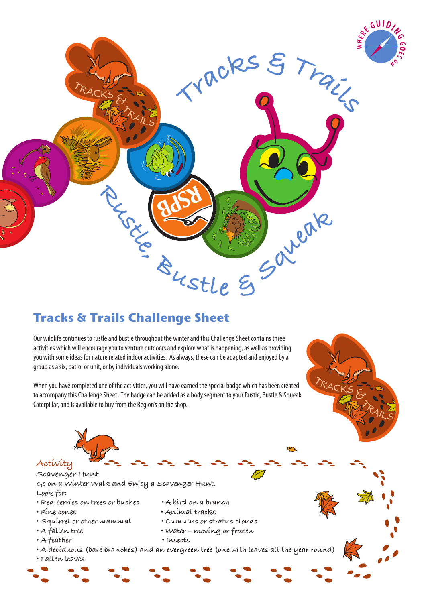

## **Tracks & Trails Challenge Sheet**

Our wildlife continues to rustle and bustle throughout the winter and this Challenge Sheet contains three activities which will encourage you to venture outdoors and explore what is happening, as well as providing you with some ideas for nature related indoor activities. As always, these can be adapted and enjoyed by a group as a six, patrol or unit, or by individuals working alone.

When you have completed one of the activities, you will have earned the special badge which has been created to accompany this Challenge Sheet. The badge can be added as a body segment to your Rustle, Bustle & Squeak Caterpillar, and is available to buy from the Region's online shop.





**Scavenger Hunt**

**Go on a Winter Walk and Enjoy a Scavenger Hunt. Look for:**

- **Red berries on trees or bushes • A bird on a branch**
- **Pine cones • Animal tracks**
- **Squirrel or other mammal Cumulus or stratus clouds**
- 
- 
- **A feather Insects**
- **A fallen tree Water moving or frozen**
	-
- **A deciduous (bare branches) and an evergreen tree (one with leaves all the year round)**
- **Fallen leaves**